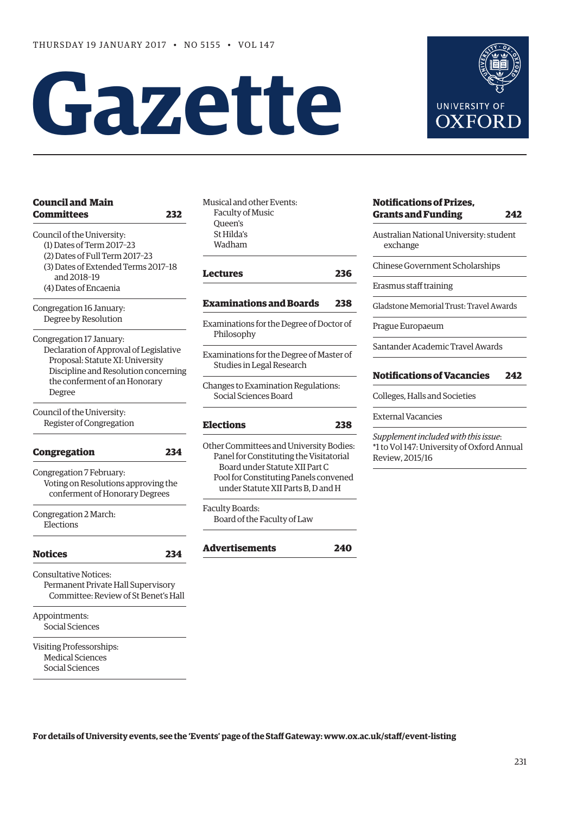# **Gazette**

| <b>Council and Main</b>                | Musio        |   |
|----------------------------------------|--------------|---|
| <b>Committees</b>                      | Fa<br>232    |   |
|                                        | Qυ           |   |
| Council of the University:             | St:          |   |
| (1) Dates of Term 2017-23              | W.           |   |
| (2) Dates of Full Term 2017-23         |              |   |
| (3) Dates of Extended Terms 2017-18    |              |   |
| and 2018-19                            | Lect         |   |
| (4) Dates of Encaenia                  |              |   |
| Congregation 16 January:               | Exar         |   |
| Degree by Resolution                   | Exam         |   |
| Congregation 17 January:               | Ph           |   |
| Declaration of Approval of Legislative |              |   |
| Proposal: Statute XI: University       | Exam         |   |
| Discipline and Resolution concerning   | Stι          |   |
| the conferment of an Honorary          |              |   |
| Degree                                 | Chan         |   |
|                                        | So           |   |
| Council of the University:             |              |   |
| Register of Congregation               | Elec         |   |
|                                        | Other<br>234 |   |
| <b>Congregation</b>                    | Pa           |   |
| Congregation 7 February:               |              | E |
| Voting on Resolutions approving the    | Po           |   |
| conferment of Honorary Degrees         |              | u |
|                                        | Facul        |   |
| Congregation 2 March:<br>Elections     | Bo           |   |
|                                        |              |   |
| <b>Notices</b>                         | Adv<br>234   |   |
| <b>Consultative Notices:</b>           |              |   |
| Permanent Private Hall Supervisory     |              |   |
| Committee: Review of St Benet's Hall   |              |   |
|                                        |              |   |
| Appointments:                          |              |   |
| Social Sciences                        |              |   |
| Visiting Professorships:               |              |   |
| <b>Medical Sciences</b>                |              |   |
|                                        |              |   |

cal and other Events: culty of Music Queen's Hilda's adham

**[Lectures](#page-5-0) 236**

# **[Examinations and Boards](#page-7-0) 238**

- inations for the Degree of Doctor of ilosophy
- hinations for the Degree of Master of udies in Legal Research
- ges to Examination Regulations: ocial Sciences Board

# **[Elections](#page-7-0) 238**

r Committees and University Bodies: nel for Constituting the Visitatorial Board under Statute XII Part C Pool for Constituting Panels convened under Statute XII Parts B, D and H

lty Boards: bard of the Faculty of Law

**[Advertisements](#page-9-0) 240**



# **[Notifications of Prizes,](#page-11-0)  Grants and Funding 242**

Australian National University: student exchange

Chinese Government Scholarships

Erasmus staff training

Gladstone Memorial Trust: Travel Awards

Prague Europaeum

Santander Academic Travel Awards

# **[Notifications of Vacancies 242](#page-11-0)**

Colleges, Halls and Societies

External Vacancies

*Supplement included with this issue*: \*1 to Vol 147: University of Oxford Annual Review, 2015/16

**For details of University events, see the 'Events' page of the Staff Gateway: [www.ox.ac.uk/staff/event-listing](http://www.ox.ac.uk/staff/event-listing)**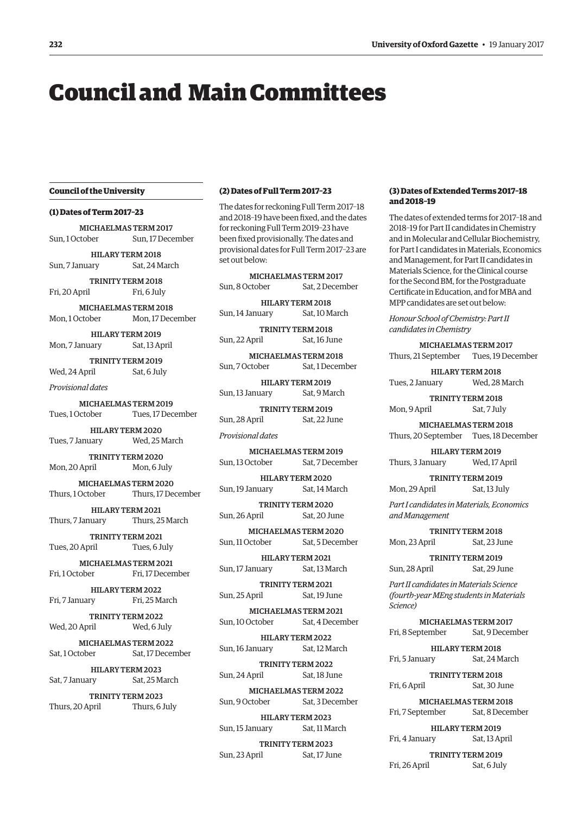# <span id="page-1-0"></span>Council and Main Committees

# **Council of the University**

# **(1) Dates of Term 2017–23**

MICHAELMAS TERM 2017 Sun, 1 October Sun, 17 December HILARY TERM 2018

Sun, 7 January Sat, 24 March

TRINITY TERM 2018 Fri, 20 April Fri, 6 July

MICHAELMAS TERM 2018 Mon, 1 October Mon, 17 December

HILARY TERM 2019 Mon, 7 January Sat, 13 April

TRINITY TERM 2019 Wed, 24 April Sat, 6 July

*Provisional dates*

MICHAELMAS TERM 2019 Tues, 1 October Tues, 17 December

HILARY TERM 2020 Tues, 7 January Wed, 25 March

TRINITY TERM 2020 Mon, 20 April Mon, 6 July

MICHAELMAS TERM 2020 Thurs, 1 October Thurs, 17 December

HILARY TERM 2021 Thurs, 7 January Thurs, 25 March

TRINITY TERM 2021 Tues, 20 April Tues, 6 July

MICHAELMAS TERM 2021 Fri, 1 October Fri, 17 December

HILARY TERM 2022 Fri, 7 January Fri, 25 March

TRINITY TERM 2022 Wed, 20 April Wed, 6 July

MICHAELMAS TERM 2022 Sat, 1 October Sat, 17 December

HILARY TERM 2023 Sat, 7 January Sat, 25 March

TRINITY TERM 2023 Thurs, 20 April Thurs, 6 July

#### **(2) Dates of Full Term 2017–23**

The dates for reckoning Full Term 2017–18 and 2018–19 have been fixed, and the dates for reckoning Full Term 2019–23 have been fixed provisionally. The dates and provisional dates for Full Term 2017–23 are set out below:

MICHAELMAS TERM 2017 Sun, 8 October Sat, 2 December

HILARY TERM 2018 Sun, 14 January Sat, 10 March

TRINITY TERM 2018 Sun, 22 April Sat, 16 June

MICHAELMAS TERM 2018 Sun, 7 October Sat, 1 December

HILARY TERM 2019 Sun, 13 January Sat, 9 March

TRINITY TERM 2019 Sun, 28 April Sat, 22 June

*Provisional dates*

MICHAELMAS TERM 2019 Sun, 13 October Sat, 7 December

HILARY TERM 2020 Sun, 19 January Sat, 14 March

TRINITY TERM 2020 Sun, 26 April Sat, 20 June

MICHAELMAS TERM 2020 Sun, 11 October Sat, 5 December

HILARY TERM 2021 Sun, 17 January Sat, 13 March

TRINITY TERM 2021 Sun, 25 April Sat, 19 June

MICHAELMAS TERM 2021 Sun, 10 October Sat, 4 December

HILARY TERM 2022 Sun, 16 January Sat, 12 March

TRINITY TERM 2022 Sun, 24 April Sat, 18 June

MICHAELMAS TERM 2022 Sun, 9 October Sat, 3 December

HILARY TERM 2023 Sun, 15 January Sat, 11 March

TRINITY TERM 2023 Sun, 23 April Sat, 17 June

#### **(3) Dates of Extended Terms 2017–18 and 2018–19**

The dates of extended terms for 2017–18 and 2018–19 for Part II candidates in Chemistry and in Molecular and Cellular Biochemistry, for Part I candidates in Materials, Economics and Management, for Part II candidates in Materials Science, for the Clinical course for the Second BM, for the Postgraduate Certificate in Education, and for MBA and MPP candidates are set out below:

*Honour School of Chemistry: Part II candidates in Chemistry*

MICHAELMAS TERM 2017 Thurs, 21 September Tues, 19 December

HILARY TERM 2018 Tues, 2 January Wed, 28 March

TRINITY TERM 2018 Mon, 9 April Sat, 7 July

MICHAELMAS TERM 2018 Thurs, 20 September Tues, 18 December

HILARY TERM 2019 Thurs, 3 January Wed, 17 April

TRINITY TERM 2019 Mon, 29 April Sat, 13 July

*Part I candidates in Materials, Economics and Management* 

TRINITY TERM 2018 Mon, 23 April Sat, 23 June

TRINITY TERM 2019 Sun, 28 April Sat, 29 June

*Part II candidates in Materials Science (fourth-year MEng students in Materials Science)* 

MICHAELMAS TERM 2017 Fri, 8 September Sat, 9 December

HILARY TERM 2018 Fri, 5 January Sat, 24 March

TRINITY TERM 2018 Fri, 6 April Sat, 30 June

MICHAELMAS TERM 2018 Fri, 7 September Sat, 8 December

HILARY TERM 2019 Fri, 4 January Sat, 13 April

TRINITY TERM 2019 Fri, 26 April Sat, 6 July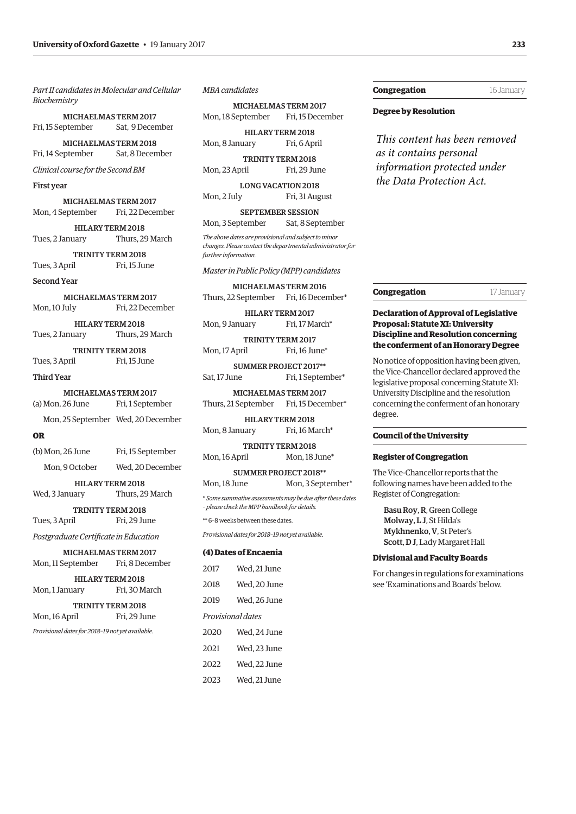*Part II candidates in Molecular and Cellular Biochemistry* 

MICHAELMAS TERM 2017 Fri, 15 September Sat, 9 December

MICHAELMAS TERM 2018 Fri, 14 September Sat, 8 December

*Clinical course for the Second BM*

#### First year

MICHAELMAS TERM 2017 Mon, 4 September Fri, 22 December

HILARY TERM 2018 Tues, 2 January Thurs, 29 March

TRINITY TERM 2018 Tues, 3 April Fri, 15 June

#### Second Year

 MICHAELMAS TERM 2017 Mon, 10 July Fri, 22 December

HILARY TERM 2018 Tues, 2 January Thurs, 29 March

TRINITY TERM 2018 Tues, 3 April Fri, 15 June

Third Year

 MICHAELMAS TERM 2017 (a) Mon, 26 June Fri, 1 September

Mon, 25 September Wed, 20 December

#### **OR**

| (b) Mon, 26 June | Fri, 15 September |
|------------------|-------------------|
| Mon, 9 October   | Wed, 20 December  |

HILARY TERM 2018

Wed, 3 January Thurs, 29 March

TRINITY TERM 2018 Tues, 3 April Fri, 29 June

*Postgraduate Certificate in Education*

MICHAELMAS TERM 2017 Mon, 11 September Fri, 8 December

HILARY TERM 2018 Mon, 1 January Fri, 30 March

TRINITY TERM 2018 Mon, 16 April Fri, 29 June

*Provisional dates for 2018–19 not yet available.*

# *MBA candidates*

MICHAELMAS TERM 2017 Mon, 18 September Fri, 15 December

HILARY TERM 2018 Mon, 8 January Fri, 6 April

TRINITY TERM 2018 Mon, 23 April Fri, 29 June

LONG VACATION 2018 Mon, 2 July Fri, 31 August

SEPTEMBER SESSION Mon, 3 September Sat, 8 September

*The above dates are provisional and subject to minor changes. Please contact the departmental administrator for further information.*

#### *Master in Public Policy (MPP) candidates*

MICHAELMAS TERM 2016 Thurs, 22 September Fri, 16 December\*

HILARY TERM 2017 Mon, 9 January Fri, 17 March<sup>\*</sup>

TRINITY TERM 2017 Mon, 17 April Fri, 16 June\*

SUMMER PROJECT 2017\*\* Sat, 17 June Fri, 1 September\*

MICHAELMAS TERM 2017 Thurs, 21 September Fri, 15 December\*

HILARY TERM 2018 Mon, 8 January Fri, 16 March\*

TRINITY TERM 2018 Mon, 16 April Mon, 18 June<sup>\*</sup>

SUMMER PROJECT 2018\*\* Mon, 18 June Mon, 3 September\*

\* *Some summative assessments may be due after these dates – please check the MPP handbook for details.*

\*\* 6–8 weeks between these dates.

*Provisional dates for 2018–19 not yet available*.

#### **(4) Dates of Encaenia**

| 2017              | Wed. 21 June |  |  |
|-------------------|--------------|--|--|
| 2018              | Wed, 20 June |  |  |
| 2019              | Wed, 26 June |  |  |
| Provisional dates |              |  |  |
| 2020              | Wed, 24 June |  |  |
| 2021              | Wed, 23 June |  |  |
| 2022              | Wed, 22 June |  |  |
| 2023              | Wed, 21 June |  |  |

# **Congregation** 16 January

#### **Degree by Resolution**

*This content has been removed as it contains personal information protected under the Data Protection Act.*

**Congregation 17 January** 

# **Declaration of Approval of Legislative Proposal: Statute XI: University Discipline and Resolution concerning the conferment of an Honorary Degree**

No notice of opposition having been given, the Vice-Chancellor declared approved the legislative proposal concerning Statute XI: University Discipline and the resolution concerning the conferment of an honorary degree.

#### **Council of the University**

#### **Register of Congregation**

The Vice-Chancellor reports that the following names have been added to the Register of Congregation:

Basu Roy, R, Green College Molway, L J, St Hilda's Mykhnenko, V, St Peter's Scott, D J, Lady Margaret Hall

#### **Divisional and Faculty Boards**

For changes in regulations for examinations see 'Examinations and Boards' below.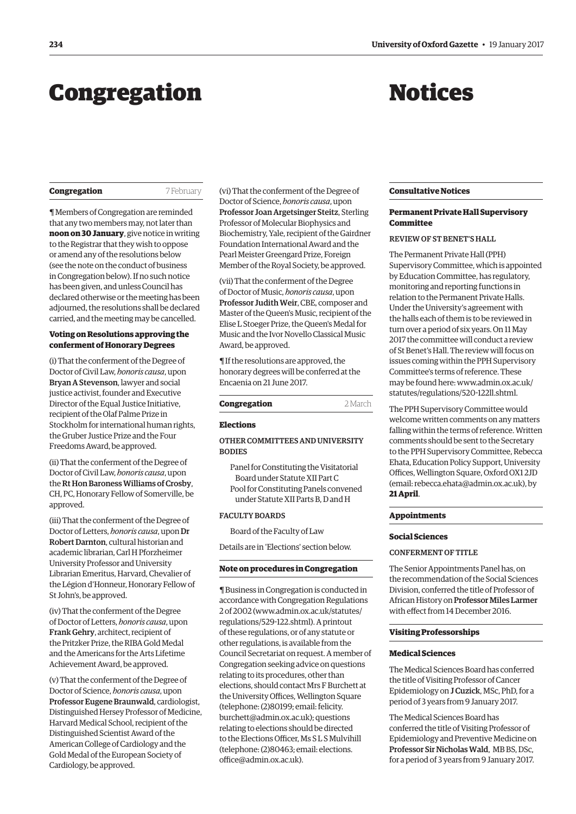# <span id="page-3-0"></span>**Congregation Notices**

| Congregation |
|--------------|
|--------------|

**Congregation** 7 February

¶ Members of Congregation are reminded that any two members may, not later than **noon on 30 January**, give notice in writing to the Registrar that they wish to oppose or amend any of the resolutions below (see the note on the conduct of business in Congregation below). If no such notice has been given, and unless Council has declared otherwise or the meeting has been adjourned, the resolutions shall be declared carried, and the meeting may be cancelled.

#### **Voting on Resolutions approving the conferment of Honorary Degrees**

(i) That the conferment of the Degree of Doctor of Civil Law, *honoris causa*, upon Bryan A Stevenson, lawyer and social justice activist, founder and Executive Director of the Equal Justice Initiative, recipient of the Olaf Palme Prize in Stockholm for international human rights, the Gruber Justice Prize and the Four Freedoms Award, be approved.

(ii) That the conferment of the Degree of Doctor of Civil Law, *honoris causa*, upon the Rt Hon Baroness Williams of Crosby, CH, PC, Honorary Fellow of Somerville, be approved.

(iii) That the conferment of the Degree of Doctor of Letters, *honoris causa*, upon Dr Robert Darnton, cultural historian and academic librarian, Carl H Pforzheimer University Professor and University Librarian Emeritus, Harvard, Chevalier of the Légion d'Honneur, Honorary Fellow of St John's, be approved.

(iv) That the conferment of the Degree of Doctor of Letters, *honoris causa*, upon Frank Gehry, architect, recipient of the Pritzker Prize, the RIBA Gold Medal and the Americans for the Arts Lifetime Achievement Award, be approved.

(v) That the conferment of the Degree of Doctor of Science, *honoris causa*, upon Professor Eugene Braunwald, cardiologist, Distinguished Hersey Professor of Medicine, Harvard Medical School, recipient of the Distinguished Scientist Award of the American College of Cardiology and the Gold Medal of the European Society of Cardiology, be approved.

(vi) That the conferment of the Degree of Doctor of Science, *honoris causa*, upon Professor Joan Argetsinger Steitz, Sterling Professor of Molecular Biophysics and Biochemistry, Yale, recipient of the Gairdner Foundation International Award and the Pearl Meister Greengard Prize, Foreign Member of the Royal Society, be approved.

(vii) That the conferment of the Degree of Doctor of Music, *honoris causa*, upon Professor Judith Weir, CBE, composer and Master of the Queen's Music, recipient of the Elise L Stoeger Prize, the Queen's Medal for Music and the Ivor Novello Classical Music Award, be approved.

¶ If the resolutions are approved, the honorary degrees will be conferred at the Encaenia on 21 June 2017.

| Congregation | 2 March |
|--------------|---------|
|              |         |

#### **Elections**

# OTHER COMMITTEES AND UNIVERSITY **BODIES**

Panel for Constituting the Visitatorial Board under Statute XII Part C Pool for Constituting Panels convened under Statute XII Parts B, D and H

# FACULTY BOARDS

Board of the Faculty of Law

Details are in 'Elections' section below.

# **Note on procedures in Congregation**

¶ Business in Congregation is conducted in accordance with Congregation Regulations 2 of 2002 [\(www.admin.ox.ac.uk/statutes/](http://www.admin.ox.ac.uk/statutes/regulations/529-122.shtml) [regulations/529-122.shtml\). A p](http://www.admin.ox.ac.uk/statutes/regulations/529-122.shtml)rintout of these regulations, or of any statute or other regulations, is available from the Council Secretariat on request. A member of Congregation seeking advice on questions relating to its procedures, other than elections, should contact Mrs F Burchett at the University Offices, Wellington Square (telephone: (2)80199; email: felicity. [burchett@admin.ox.ac.uk\); questions](mailto:felicity.burchett@admin.ox.ac.uk)  relating to elections should be directed to the Elections Officer, Ms S L S Mulvihill [\(telephone: \(2\)80463; email: elections.](mailto:elections.office@admin.ox.ac.uk) office@admin.ox.ac.uk).

#### **Consultative Notices**

# **Permanent Private Hall Supervisory Committee**

# REVIEW OF ST BENET'S HALL

The Permanent Private Hall (PPH) Supervisory Committee, which is appointed by Education Committee, has regulatory, monitoring and reporting functions in relation to the Permanent Private Halls. Under the University's agreement with the halls each of them is to be reviewed in turn over a period of six years. On 11 May 2017 the committee will conduct a review of St Benet's Hall. The review will focus on issues coming within the PPH Supervisory Committee's terms of reference. These [may be found here: www.admin.ox.ac.uk/](www.admin.ox.ac.uk/statutes/regulations/520-122ll.shtml) statutes/regulations/520-122ll.shtml.

The PPH Supervisory Committee would welcome written comments on any matters falling within the terms of reference. Written comments should be sent to the Secretary to the PPH Supervisory Committee, Rebecca Ehata, Education Policy Support, University Offices, Wellington Square, Oxford OX1 2JD (email: [rebecca.ehata@admin.ox.ac.uk\), by](mailto:rebecca.ehata@admin.ox.ac.uk) **21 April**.

#### **Appointments**

#### **Social Sciences**

#### CONFERMENT OF TITLE

The Senior Appointments Panel has, on the recommendation of the Social Sciences Division, conferred the title of Professor of African History on Professor Miles Larmer with effect from 14 December 2016.

#### **Visiting Professorships**

#### **Medical Sciences**

The Medical Sciences Board has conferred the title of Visiting Professor of Cancer Epidemiology on J Cuzick, MSc, PhD, for a period of 3 years from 9 January 2017.

The Medical Sciences Board has conferred the title of Visiting Professor of Epidemiology and Preventive Medicine on Professor Sir Nicholas Wald, MB BS, DSc, for a period of 3 years from 9 January 2017.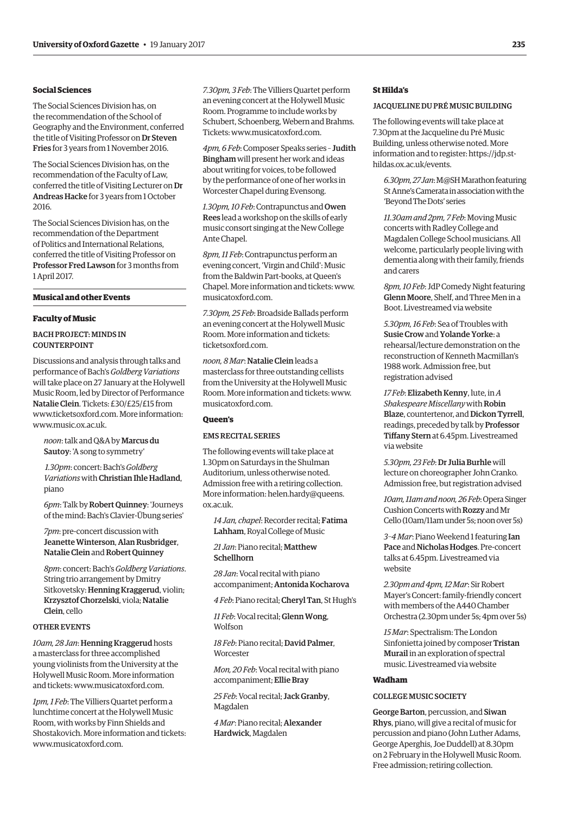## **Social Sciences**

The Social Sciences Division has, on the recommendation of the School of Geography and the Environment, conferred the title of Visiting Professor on Dr Steven Fries for 3 years from 1 November 2016.

The Social Sciences Division has, on the recommendation of the Faculty of Law, conferred the title of Visiting Lecturer on Dr Andreas Hacke for 3 years from 1 October 2016.

The Social Sciences Division has, on the recommendation of the Department of Politics and International Relations, conferred the title of Visiting Professor on Professor Fred Lawson for 3 months from 1 April 2017.

# **Musical and other Events**

#### **Faculty of Music**

# BACH PROJECT: MINDS IN COUNTERPOINT

Discussions and analysis through talks and performance of Bach's *Goldberg Variations* will take place on 27 January at the Holywell Music Room, led by Director of Performance Natalie Clein. Tickets: £30/£25/£15 from [www.ticketsoxford.com. Mo](http://www.ticketsoxford.com)re information: [www.music.ox.ac.uk.](http://www.music.ox.ac.uk)

*noon*: talk and Q&A by Marcus du Sautoy: 'A song to symmetry'

*1.30pm*: concert: Bach's *Goldberg Variations* with Christian Ihle Hadland, piano

*6pm*: Talk by Robert Quinney: 'Journeys of the mind: Bach's Clavier-Übung series'

*7pm*: pre-concert discussion with Jeanette Winterson, Alan Rusbridger, Natalie Clein and Robert Quinney

*8pm*: concert: Bach's *Goldberg Variations*. String trio arrangement by Dmitry Sitkovetsky: Henning Kraggerud, violin; Krzysztof Chorzelski, viola; Natalie Clein, cello

#### OTHER EVENTS

*10am, 28 Jan*: Henning Kraggerud hosts a masterclass for three accomplished young violinists from the University at the Holywell Music Room. More information and tickets: [www.musicatoxford.com.](http://www.musicatoxford.com)

*1pm, 1 Feb*: The Villiers Quartet perform a lunchtime concert at the Holywell Music Room, with works by Finn Shields and Shostakovich. More information and tickets: [www.musicatoxford.com.](http://www.musicatoxford.com)

*7.30pm, 3 Feb*: The Villiers Quartet perform an evening concert at the Holywell Music Room. Programme to include works by Schubert, Schoenberg, Webern and Brahms. Tickets: [www.musicatoxford.com.](http://www.musicatoxford.com)

*4pm, 6 Feb*: Composer Speaks series – Judith Bingham will present her work and ideas about writing for voices, to be followed by the performance of one of her works in Worcester Chapel during Evensong.

*1.30pm, 10 Feb*: Contrapunctus and Owen Rees lead a workshop on the skills of early music consort singing at the New College Ante Chapel.

*8pm, 11 Feb*: Contrapunctus perform an evening concert, 'Virgin and Child': Music from the Baldwin Part-books, at Queen's Chapel. More information and tickets: [www.](http://www.musicatoxford.com) [musicatoxford.com.](http://www.musicatoxford.com)

*7.30pm, 25 Feb*: Broadside Ballads perform an evening concert at the Holywell Music Room. More information and tickets: ticketsoxford.com.

*noon, 8 Mar*: Natalie Clein leads a masterclass for three outstanding cellists from the University at the Holywell Music Room. More information and tickets: [www.](http://www.musicatoxford.com) [musicatoxford.com.](http://www.musicatoxford.com)

# **Queen's**

# EMS RECITAL SERIES

The following events will take place at 1.30pm on Saturdays in the Shulman Auditorium, unless otherwise noted. Admission free with a retiring collection. More information: helen.hardy@queens. ox.ac.uk.

*14 Jan, chapel*: Recorder recital; Fatima Lahham, Royal College of Music

*21 Jan*: Piano recital; Matthew Schellhorn

*28 Jan*: Vocal recital with piano accompaniment; Antonida Kocharova

*4 Feb*: Piano recital; Cheryl Tan, St Hugh's

*11 Feb*: Vocal recital; Glenn Wong, Wolfson

*18 Feb*: Piano recital; David Palmer, **Worcester** 

*Mon, 20 Feb*: Vocal recital with piano accompaniment; Ellie Bray

*25 Feb*: Vocal recital; Jack Granby, Magdalen

*4 Mar*: Piano recital; Alexander Hardwick, Magdalen

# **St Hilda's**

# JACQUELINE DU PRÉ MUSIC BUILDING

The following events will take place at 7.30pm at the Jacqueline du Pré Music Building, unless otherwise noted. More [information and to register: https://jdp.st](https://jdp.st-hildas.ox.ac.uk/events)hildas.ox.ac.uk/events.

*6.30pm, 27 Jan*: M@SH Marathon featuring St Anne's Camerata in association with the 'Beyond The Dots' series

*11.30am and 2pm, 7 Feb*: Moving Music concerts with Radley College and Magdalen College School musicians. All welcome, particularly people living with dementia along with their family, friends and carers

*8pm, 10 Feb*: JdP Comedy Night featuring Glenn Moore, Shelf, and Three Men in a Boot. Livestreamed via website

*5.30pm, 16 Feb*: Sea of Troubles with Susie Crow and Yolande Yorke: a rehearsal/lecture demonstration on the reconstruction of Kenneth Macmillan's 1988 work. Admission free, but registration advised

*17 Feb*: Elizabeth Kenny, lute, in *A Shakespeare Miscellany* with Robin Blaze, countertenor, and Dickon Tyrrell, readings, preceded by talk by Professor Tiffany Stern at 6.45pm. Livestreamed via website

*5.30pm, 23 Feb*: Dr Julia Burhle will lecture on choreographer John Cranko. Admission free, but registration advised

*10am, 11am and noon, 26 Feb*: Opera Singer Cushion Concerts with Rozzy and Mr Cello (10am/11am under 5s; noon over 5s)

*3–4 Mar*: Piano Weekend 1 featuring Ian Pace and Nicholas Hodges. Pre-concert talks at 6.45pm. Livestreamed via website

*2.30pm and 4pm, 12 Mar*: Sir Robert Mayer's Concert: family-friendly concert with members of the A440 Chamber Orchestra (2.30pm under 5s; 4pm over 5s)

*15 Mar*: Spectralism: The London Sinfonietta joined by composer Tristan Murail in an exploration of spectral music. Livestreamed via website

#### **Wadham**

# COLLEGE MUSIC SOCIETY

George Barton, percussion, and Siwan Rhys, piano, will give a recital of music for percussion and piano (John Luther Adams, George Aperghis, Joe Duddell) at 8.30pm on 2 February in the Holywell Music Room. Free admission; retiring collection.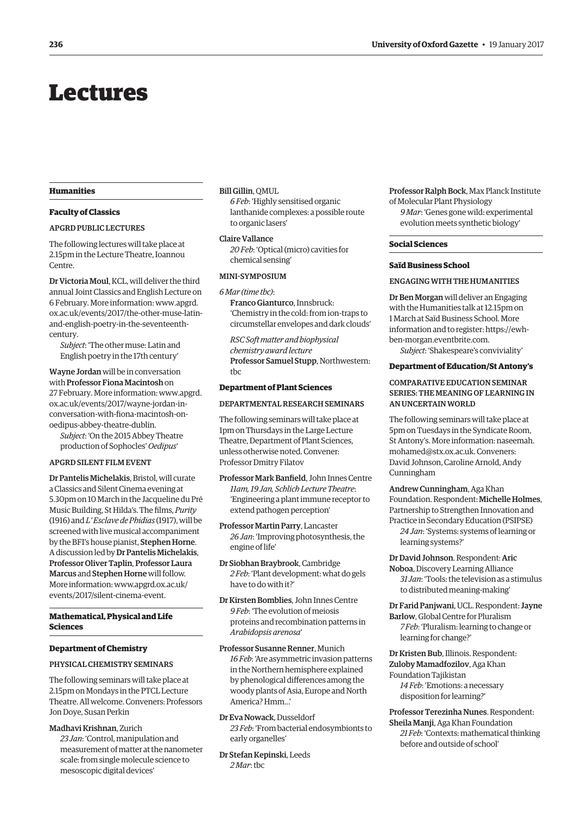# <span id="page-5-0"></span>Lectures

#### **Humanities**

## **Faculty of Classics**

#### APGRD PUBLIC LECTURES

The following lectures will take place at 2.15pm in the Lecture Theatre, Ioannou Centre.

Dr Victoria Moul, KCL, will deliver the third annual Joint Classics and English Lecture on 6 February. More information: www.apgrd. [ox.ac.uk/events/2017/the-other-muse-latin](www.apgrd.ox.ac.uk/events/2017/the-other-muse-latin-and-english-poetry-in-the-seventeenth-century)and-english-poetry-in-the-seventeenthcentury.

*Subject*: 'The other muse: Latin and English poetry in the 17th century'

Wayne Jordan will be in conversation with Professor Fiona Macintosh on [27 February. More information: www.apgrd.](www.apgrd.ox.ac.uk/events/2017/wayne-jordan-in-conversation-with-fiona-macintosh-on-oedipus-abbey-theatre-dublin) ox.ac.uk/events/2017/wayne-jordan-inconversation-with-fiona-macintosh-onoedipus-abbey-theatre-dublin.

*Subject*: 'On the 2015 Abbey Theatre production of Sophocles' *Oedipus*'

# APGRD SILENT FILM EVENT

Dr Pantelis Michelakis, Bristol, will curate a Classics and Silent Cinema evening at 5.30pm on 10 March in the Jacqueline du Pré Music Building, St Hilda's. The films, *Purity* (1916) and *L' Esclave de Phidias* (1917), will be screened with live musical accompaniment by the BFI's house pianist, Stephen Horne. A discussion led by Dr Pantelis Michelakis, Professor Oliver Taplin, Professor Laura Marcus and Stephen Horne will follow. [More information: www.apgrd.ox.ac.uk/](www.apgrd.ox.ac.uk/events/2017/silent-cinema-event) events/2017/silent-cinema-event.

# **Mathematical, Physical and Life Sciences**

#### **Department of Chemistry**

#### PHYSICAL CHEMISTRY SEMINARS

The following seminars will take place at 2.15pm on Mondays in the PTCL Lecture Theatre. All welcome. Conveners: Professors Jon Doye, Susan Perkin

# Madhavi Krishnan, Zurich

*23 Jan*: 'Control, manipulation and measurement of matter at the nanometer scale: from single molecule science to mesoscopic digital devices'

# Bill Gillin, QMUL

*6 Feb*: 'Highly sensitised organic lanthanide complexes: a possible route to organic lasers'

Claire Vallance *20 Feb*: 'Optical (micro) cavities for chemical sensing'

#### MINI-SYMPOSIUM

*6 Mar (time tbc)*:

Franco Gianturco, Innsbruck: 'Chemistry in the cold: from ion-traps to circumstellar envelopes and dark clouds'

*RSC Soft matter and biophysical chemistry award lecture* Professor Samuel Stupp, Northwestern: tbc

# **Department of Plant Sciences**

#### DEPARTMENTAL RESEARCH SEMINARS

The following seminars will take place at 1pm on Thursdays in the Large Lecture Theatre, Department of Plant Sciences, unless otherwise noted. Convener: Professor Dmitry Filatov

Professor Mark Banfield, John Innes Centre *11am, 19 Jan, Schlich Lecture Theatre*: 'Engineering a plant immune receptor to extend pathogen perception'

Professor Martin Parry, Lancaster *26 Jan*: 'Improving photosynthesis, the engine of life'

Dr Siobhan Braybrook, Cambridge *2 Feb*: 'Plant development: what do gels have to do with it?'

Dr Kirsten Bomblies, John Innes Centre *9 Feb*: 'The evolution of meiosis proteins and recombination patterns in *Arabidopsis arenosa*'

Professor Susanne Renner, Munich *16 Feb*: 'Are asymmetric invasion patterns in the Northern hemisphere explained by phenological differences among the woody plants of Asia, Europe and North America? Hmm…'

Dr Eva Nowack, Dusseldorf *23 Feb*: 'From bacterial endosymbionts to early organelles'

Dr Stefan Kepinski, Leeds *2 Mar*: tbc

Professor Ralph Bock, Max Planck Institute of Molecular Plant Physiology

*9 Mar*: 'Genes gone wild: experimental evolution meets synthetic biology'

#### **Social Sciences**

# **Saïd Business School**

#### ENGAGING WITH THE HUMANITIES

Dr Ben Morgan will deliver an Engaging with the Humanities talk at 12.15pm on 1 March at Saïd Business School. More [information and to register: https://ewh](https://ewh-ben-morgan.eventbrite.com)ben-morgan.eventbrite.com.

*Subject*: 'Shakespeare's conviviality'

**Department of Education/St Antony's**

# COMPARATIVE EDUCATION SEMINAR SERIES: THE MEANING OF LEARNING IN AN UNCERTAIN WORLD

The following seminars will take place at 5pm on Tuesdays in the Syndicate Room, [St Antony's. More information: naseemah.](mailto:naseemah.mohamed@stx.ox.ac.uk) mohamed@stx.ox.ac.uk. Conveners: David Johnson, Caroline Arnold, Andy Cunningham

Andrew Cunningham, Aga Khan Foundation. Respondent: Michelle Holmes, Partnership to Strengthen Innovation and Practice in Secondary Education (PSIPSE)

*24 Jan*: 'Systems: systems of learning or learning systems?'

Dr David Johnson. Respondent: Aric Noboa, Discovery Learning Alliance

*31 Jan*: 'Tools: the television as a stimulus to distributed meaning-making'

Dr Farid Panjwani, UCL. Respondent: Jayne Barlow, Global Centre for Pluralism *7 Feb*: 'Pluralism: learning to change or learning for change?'

Dr Kristen Bub, Illinois. Respondent: Zuloby Mamadfozilov, Aga Khan Foundation Tajikistan *14 Feb*: 'Emotions: a necessary disposition for learning?'

before and outside of school'

Professor Terezinha Nunes. Respondent: Sheila Manji, Aga Khan Foundation *21 Feb*: 'Contexts: mathematical thinking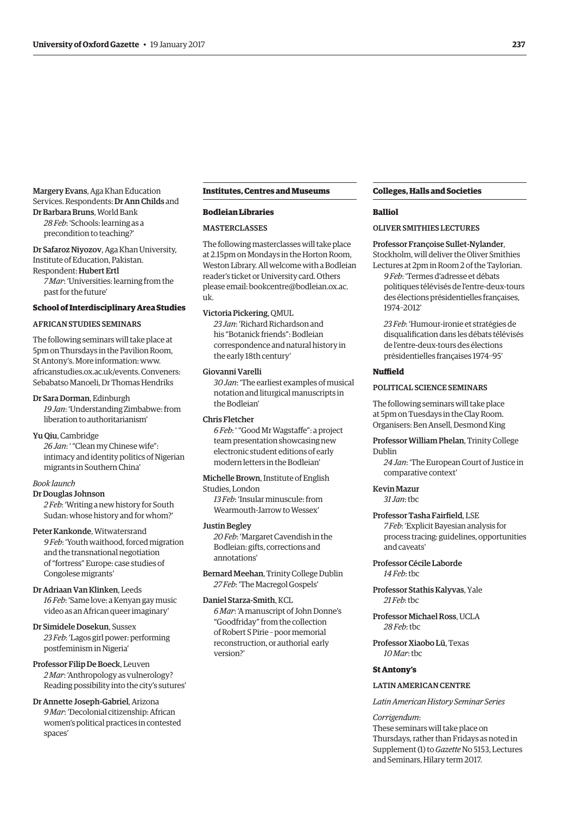# Margery Evans, Aga Khan Education Services. Respondents: Dr Ann Childs and Dr Barbara Bruns, World Bank

*28 Feb*: 'Schools: learning as a precondition to teaching?'

Dr Safaroz Niyozov, Aga Khan University, Institute of Education, Pakistan. Respondent: Hubert Ertl *7 Mar*: 'Universities: learning from the past for the future'

#### **School of Interdisciplinary Area Studies**

# AFRICAN STUDIES SEMINARS

The following seminars will take place at 5pm on Thursdays in the Pavilion Room, St Antony's. More information: [www.](http://www.africanstudies.ox.ac.uk/events) [africanstudies.ox.ac.uk/events. Co](http://www.africanstudies.ox.ac.uk/events)nveners: Sebabatso Manoeli, Dr Thomas Hendriks

#### Dr Sara Dorman, Edinburgh

*19 Jan*: 'Understanding Zimbabwe: from liberation to authoritarianism'

#### Yu Qiu, Cambridge

*26 Jan*: ' "Clean my Chinese wife": intimacy and identity politics of Nigerian migrants in Southern China'

### *Book launch*

Dr Douglas Johnson

*2 Feb*: 'Writing a new history for South Sudan: whose history and for whom?'

#### Peter Kankonde, Witwatersrand

*9 Feb*: 'Youth waithood, forced migration and the transnational negotiation of "fortress" Europe: case studies of Congolese migrants'

# Dr Adriaan Van Klinken, Leeds

*16 Feb*: 'Same love: a Kenyan gay music video as an African queer imaginary'

# Dr Simidele Dosekun, Sussex *23 Feb*: 'Lagos girl power: performing

postfeminism in Nigeria' Professor Filip De Boeck, Leuven *2 Mar*: 'Anthropology as vulnerology?

Reading possibility into the city's sutures'

Dr Annette Joseph-Gabriel, Arizona *9 Mar*: 'Decolonial citizenship: African women's political practices in contested spaces'

#### **Institutes, Centres and Museums**

#### **Bodleian Libraries**

#### **MASTERCLASSES**

The following masterclasses will take place at 2.15pm on Mondays in the Horton Room, Weston Library. All welcome with a Bodleian reader's ticket or University card. Others [please email: bookcentre@bodleian.ox.ac.](mailto:bookcentre@bodleian.ox.ac.uk) uk.

## Victoria Pickering, QMUL

*23 Jan*: 'Richard Richardson and his "Botanick friends": Bodleian correspondence and natural history in the early 18th century'

# Giovanni Varelli

*30 Jan*: 'The earliest examples of musical notation and liturgical manuscripts in the Bodleian'

#### Chris Fletcher

*6 Feb*: ' "Good Mr Wagstaffe": a project team presentation showcasing new electronic student editions of early modern letters in the Bodleian'

Michelle Brown, Institute of English

# Studies, London

*13 Feb*: 'Insular minuscule: from Wearmouth-Jarrow to Wessex'

# Justin Begley

*20 Feb*: 'Margaret Cavendish in the Bodleian: gifts, corrections and annotations'

Bernard Meehan, Trinity College Dublin *27 Feb*: 'The Macregol Gospels'

#### Daniel Starza-Smith, KCL

*6 Mar*: 'A manuscript of John Donne's "Goodfriday" from the collection of Robert S Pirie – poor memorial reconstruction, or authorial early version?'

#### **Colleges, Halls and Societies**

#### **Balliol**

# OLIVER SMITHIES LECTURES

#### Professor Françoise Sullet-Nylander,

Stockholm, will deliver the Oliver Smithies Lectures at 2pm in Room 2 of the Taylorian.

*9 Feb*: 'Termes d'adresse et débats politiques télévisés de l'entre-deux-tours des élections présidentielles françaises, 1974–2012'

*23 Feb*: 'Humour-ironie et stratégies de disqualification dans les débats télévisés de l'entre-deux-tours des élections présidentielles françaises 1974–95'

#### **Nuffield**

#### POLITICAL SCIENCE SEMINARS

The following seminars will take place at 5pm on Tuesdays in the Clay Room. Organisers: Ben Ansell, Desmond King

Professor William Phelan, Trinity College Dublin

*24 Jan*: 'The European Court of Justice in comparative context'

#### Kevin Mazur

*31 Jan*: tbc

# Professor Tasha Fairfield, LSE

*7 Feb*: 'Explicit Bayesian analysis for process tracing: guidelines, opportunities and caveats'

# Professor Cécile Laborde *14 Feb*: tbc

Professor Stathis Kalyvas, Yale *21 Feb*: tbc

Professor Michael Ross, UCLA *28 Feb*: tbc

# Professor Xiaobo Lü, Texas *10 Mar*: tbc

# **St Antony's**

#### LATIN AMERICAN CENTRE

*Latin American History Seminar Series*

#### *Corrigendum*:

These seminars will take place on Thursdays, rather than Fridays as noted in Supplement (1) to *Gazette* No 5153, Lectures and Seminars, Hilary term 2017.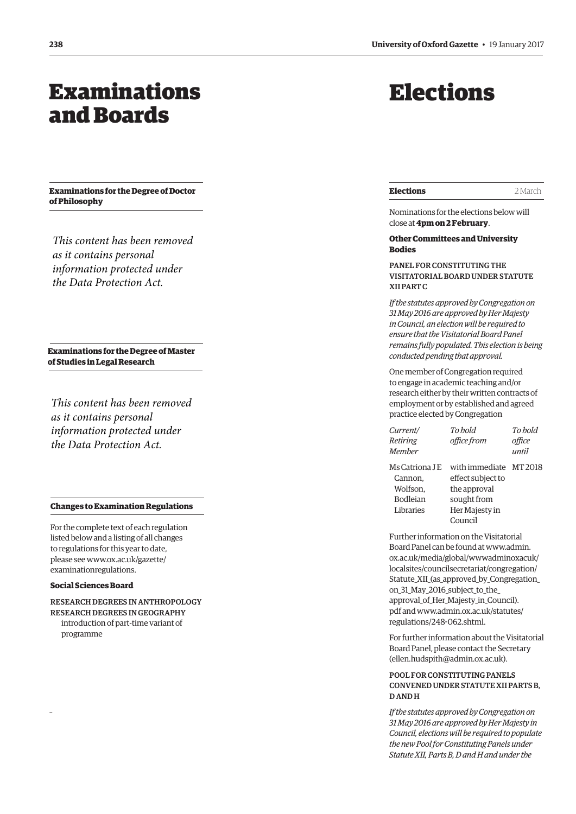# <span id="page-7-0"></span>Examinations and Boards

**Examinations for the Degree of Doctor of Philosophy**

*This content has been removed as it contains personal information protected under the Data Protection Act.*

**Examinations for the Degree of Master of Studies in Legal Research**

*This content has been removed as it contains personal information protected under the Data Protection Act.*

#### **Changes to Examination Regulations**

For the complete text of each regulation listed below and a listing of all changes to regulations for this year to date, please see www.ox.ac.uk/gazette/ examinationregulations.

# **Social Sciences Board**

–

RESEARCH DEGREES IN ANTHROPOLOGY RESEARCH DEGREES IN GEOGRAPHY introduction of part-time variant of programme

# Elections

| <b>Elections</b><br>2 March |
|-----------------------------|
|-----------------------------|

Nominations for the elections below will close at **4pm on 2 February** .

# **Other Committees and University Bodies**

PANEL FOR CONSTITUTING THE VISITATORIAL BOARD UNDER STATUTE XII PART C

*If the statutes approved by Congregation on 31 May 2016 are approved by Her Majesty in Council, an election will be required to ensure that the Visitatorial Board Panel remains fully populated. This election is being conducted pending that approval.*

One member of Congregation required to engage in academic teaching and/or research either by their written contracts of employment or by established and agreed practice elected by Congregation

| Current/<br>Retiring<br><b>Member</b>                                 | To hold<br>office from                                                                                  | To hold<br>office<br>until |
|-----------------------------------------------------------------------|---------------------------------------------------------------------------------------------------------|----------------------------|
| Ms Catriona LE<br>Cannon,<br>Wolfson.<br><b>Bodleian</b><br>Libraries | with immediate MT 2018<br>effect subject to<br>the approval<br>sought from<br>Her Majesty in<br>Council |                            |

Further information on the Visitatorial Board Panel can be found at www.admin. ox.ac.uk/media/global/wwwadminoxacuk/ localsites/councilsecretariat/congregation/ [Statute\\_XII\\_\(as\\_approved\\_by\\_Congregation\\_](www.admin.ox.ac.uk/media/global/wwwadminoxacuk/localsites/councilsecretariat/congregation/Statute_XII_(as_approved_by_Congregation_on_31_May_2916_subject_to_the_approval_of_Her-Majesty_in_Council).pdf) on\_31\_May\_2016\_subject\_to\_the\_ approval\_of\_Her\_Majesty\_in\_Council). [pdf and www.admin.ox.ac.uk/statutes/](www.admin.ox.ac.uk/statutes/regulations/248-062.shtml) regulations/248-062.shtml.

For further information about the Visitatorial Board Panel, please contact the Secretary [\(ellen.hudspith@admin.ox.ac.uk\).](mailto:ellen.hudspith@admin.ox.ac.uk)

# POOL FOR CONSTITUTING PANELS CONVENED UNDER STATUTE XII PARTS B, D AND H

*If the statutes approved by Congregation on 31 May 2016 are approved by Her Majesty in Council, elections will be required to populate the new Pool for Constituting Panels under Statute XII, Parts B, D and H and under the*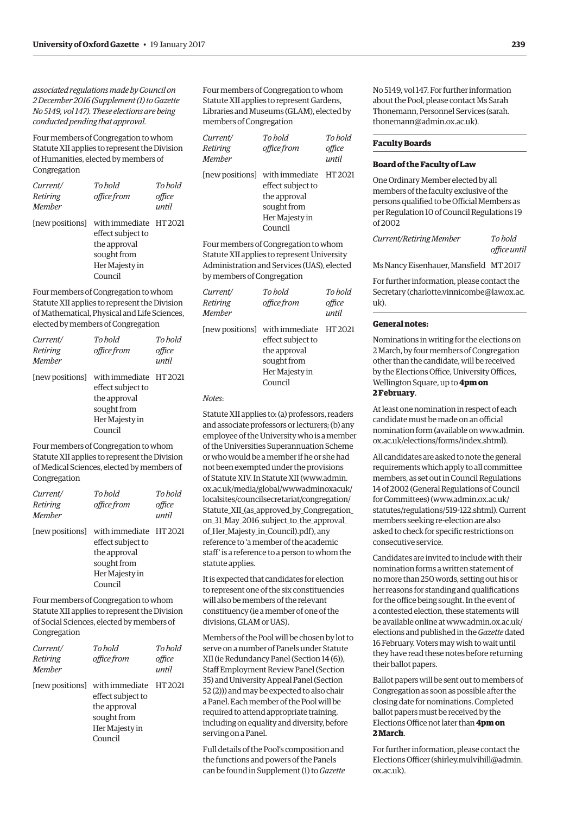*associated regulations made by Council on 2 December 2016 (Supplement (1) to Gazette No 5149, vol 147). These elections are being conducted pending that approval.*

Four members of Congregation to whom Statute XII applies to represent the Division of Humanities, elected by members of Congregation

| Current/<br>Retiring<br><b>Member</b> | To hold<br>office from                                                                                                  | To hold<br>office<br>until |
|---------------------------------------|-------------------------------------------------------------------------------------------------------------------------|----------------------------|
|                                       | [new positions] with immediate HT 2021<br>effect subject to<br>the approval<br>sought from<br>Her Majesty in<br>Council |                            |

Four members of Congregation to whom Statute XII applies to represent the Division of Mathematical, Physical and Life Sciences, elected by members of Congregation

| Current/<br>Retiring<br><b>Member</b> | To hold<br>office from                                                                                                  | To hold<br>office<br>until |
|---------------------------------------|-------------------------------------------------------------------------------------------------------------------------|----------------------------|
|                                       | [new positions] with immediate HT 2021<br>effect subject to<br>the approval<br>sought from<br>Her Majesty in<br>Council |                            |

Four members of Congregation to whom Statute XII applies to represent the Division of Medical Sciences, elected by members of Congregation

| Current/<br>Retiring<br><b>Member</b> | To hold<br>office from                                                                                  | To hold<br>office<br>until |
|---------------------------------------|---------------------------------------------------------------------------------------------------------|----------------------------|
| [new positions]                       | with immediate HT 2021<br>effect subject to<br>the approval<br>sought from<br>Her Majesty in<br>Council |                            |

Four members of Congregation to whom Statute XII applies to represent the Division of Social Sciences, elected by members of Congregation

| Current/<br>Retiring<br><b>Member</b> | To hold<br>office from                                                                                                  | To hold<br>office<br>until |
|---------------------------------------|-------------------------------------------------------------------------------------------------------------------------|----------------------------|
|                                       | [new positions] with immediate HT 2021<br>effect subject to<br>the approval<br>sought from<br>Her Majesty in<br>Council |                            |

Four members of Congregation to whom Statute XII applies to represent Gardens, Libraries and Museums (GLAM), elected by members of Congregation

| <i>Current/</i><br>Retiring<br>Member | To bold<br>office from                                                                                                  | To bold<br>office<br>until |
|---------------------------------------|-------------------------------------------------------------------------------------------------------------------------|----------------------------|
|                                       | [new positions] with immediate HT 2021<br>effect subject to<br>the approval<br>sought from<br>Her Majesty in<br>Council |                            |
|                                       | Four mombore of Congregation to whom                                                                                    |                            |

Four members of Congregation to whom Statute XII applies to represent University Administration and Services (UAS), elected by members of Congregation

| Current/ | To hold                                | To hold |
|----------|----------------------------------------|---------|
| Retiring | office from                            | office  |
| Member   |                                        | until   |
|          | [new positions] with immediate HT 2021 |         |
|          | effect subject to                      |         |
|          | the approval                           |         |
|          | sought from                            |         |

Her Majesty in Council

*Notes*:

Statute XII applies to: (a) professors, readers and associate professors or lecturers; (b) any employee of the University who is a member of the Universities Superannuation Scheme or who would be a member if he or she had not been exempted under the provisions of Statute XIV. In Statute XII (www.admin. ox.ac.uk/media/global/wwwadminoxacuk/ localsites/councilsecretariat/congregation/ [Statute\\_XII\\_\(as\\_approved\\_by\\_Congregation\\_](www.admin.ox.ac.uk/media/global/wwwadminoxacuk/localsites/councilsecretariat/congregation/Statute_XII_(as_approved_by_Congregation_on_31_May_2916_subject_to_the_approval_of_Her-Majesty_in_Council).pdf) on\_31\_May\_2016\_subject\_to\_the\_approval\_ of\_Her\_Majesty\_in\_Council).pdf), any reference to 'a member of the academic staff' is a reference to a person to whom the statute applies.

It is expected that candidates for election to represent one of the six constituencies will also be members of the relevant constituency (ie a member of one of the divisions, GLAM or UAS).

Members of the Pool will be chosen by lot to serve on a number of Panels under Statute XII (ie Redundancy Panel (Section 14 (6)), Staff Employment Review Panel (Section 35) and University Appeal Panel (Section 52 (2))) and may be expected to also chair a Panel. Each member of the Pool will be required to attend appropriate training, including on equality and diversity, before serving on a Panel.

Full details of the Pool's composition and the functions and powers of the Panels can be found in Supplement (1) to *Gazette* No 5149, vol 147. For further information about the Pool, please contact Ms Sarah [Thonemann, Personnel Services \(sarah.](mailto:sarah.thonemann@admin.ox.ac.uk) thonemann@admin.ox.ac.uk).

# **Faculty Boards**

# **Board of the Faculty of Law**

One Ordinary Member elected by all members of the faculty exclusive of the persons qualified to be Official Members as per Regulation 10 of Council Regulations 19 of 2002

*Current/Retiring Member To hold office until*

Ms Nancy Eisenhauer, Mansfield MT 2017

For further information, please contact the Secretary ([charlotte.vinnicombe@law.ox.ac.](mailto:charlotte.vinnicombe@law.ox.ac.uk) [uk\).](mailto:charlotte.vinnicombe@law.ox.ac.uk)

# **General notes:**

Nominations in writing for the elections on 2 March, by four members of Congregation other than the candidate, will be received by the Elections Office, University Offices, Wellington Square, up to **4pm on 2 February**.

At least one nomination in respect of each candidate must be made on an official [nomination form \(available on www.admin.](www.admin.ox.ac.uk/elections/forms/index.shtml) ox.ac.uk/elections/forms/index.shtml).

All candidates are asked to note the general requirements which apply to all committee members, as set out in Council Regulations 14 of 2002 (General Regulations of Council for Committees) ([www.admin.ox.ac.uk/](http://www.admin.ox.ac.uk/statutes/regulations/519-122.shtml) [statutes/regulations/519-122.shtml\). Cu](http://www.admin.ox.ac.uk/statutes/regulations/519-122.shtml)rrent members seeking re-election are also asked to check for specific restrictions on consecutive service.

Candidates are invited to include with their nomination forms a written statement of no more than 250 words, setting out his or her reasons for standing and qualifications for the office being sought. In the event of a contested election, these statements will [be available online at www.admin.ox.ac.uk/](www.admin.ox.ac.uk/elections) elections and published in the *Gazette* dated 16 February. Voters may wish to wait until they have read these notes before returning their ballot papers.

Ballot papers will be sent out to members of Congregation as soon as possible after the closing date for nominations. Completed ballot papers must be received by the Elections Office not later than **4pm on 2 March**.

For further information, please contact the Elections Officer [\(shirley.mulvihill@admin.](mailto:shirley.mulvihill@admin.ox.ac.uk) [ox.ac.uk\).](mailto:shirley.mulvihill@admin.ox.ac.uk)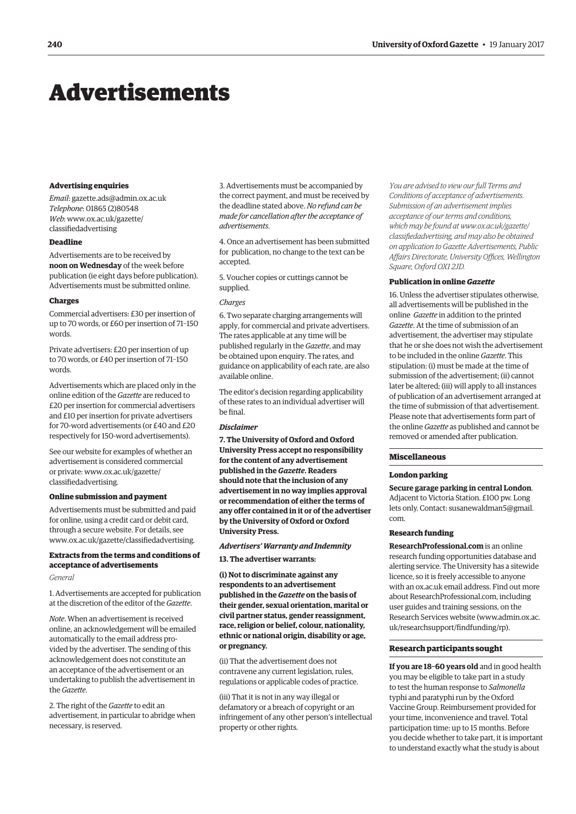# <span id="page-9-0"></span>Advertisements

#### **Advertising enquiries**

*Email*: [gazette.ads@admin.ox.ac.uk](mailto:gazette.ads@admin.ox.ac.uk) *Telephone*: 01865 (2)80548 *Web*[: www.ox.ac.uk/gazette/](www.ox.ac.uk/gazette/classifiedadvertising) classifiedadvertising

# **Deadline**

Advertisements are to be received by **noon on Wednesday** of the week before publication (ie eight days before publication). Advertisements must be submitted online.

# **Charges**

Commercial advertisers: £30 per insertion of up to 70 words, or £60 per insertion of 71–150 words.

Private advertisers: £20 per insertion of up to 70 words, or £40 per insertion of 71–150 words.

Advertisements which are placed only in the online edition of the *Gazette* are reduced to £20 per insertion for commercial advertisers and £10 per insertion for private advertisers for 70-word advertisements (or £40 and £20 respectively for 150-word advertisements).

See our website for examples of whether an advertisement is considered commercial [or private: www.ox.ac.uk/gazette/](www.ox.ac.uk/gazette/classifiedadvertising) classifiedadvertising.

#### **Online submission and payment**

Advertisements must be submitted and paid for online, using a credit card or debit card, through a secure website. For details, see [www.ox.ac.uk/gazette/classifiedadvertising.](http://www.ox.ac.uk/gazette/classifiedadvertising)

# **Extracts from the terms and conditions of acceptance of advertisements**

#### *General*

1. Advertisements are accepted for publication at the discretion of the editor of the *Gazette*.

*Note*. When an advertisement is received online, an acknowledgement will be emailed automatically to the email address provided by the advertiser. The sending of this acknowledgement does not constitute an an acceptance of the advertisement or an undertaking to publish the advertisement in the *Gazette*.

2. The right of the *Gazette* to edit an advertisement, in particular to abridge when necessary, is reserved.

3. Advertisements must be accompanied by the correct payment, and must be received by the deadline stated above. *No refund can be made for cancellation after the acceptance of advertisements*.

4. Once an advertisement has been submitted for publication, no change to the text can be accepted.

5. Voucher copies or cuttings cannot be supplied.

#### *Charges*

6. Two separate charging arrangements will apply, for commercial and private advertisers. The rates applicable at any time will be published regularly in the *Gazette*, and may be obtained upon enquiry. The rates, and guidance on applicability of each rate, are also available online.

The editor's decision regarding applicability of these rates to an individual advertiser will be final.

# *Disclaimer*

**7. The University of Oxford and Oxford University Press accept no responsibility for the content of any advertisement published in the** *Gazette***. Readers should note that the inclusion of any advertisement in no way implies approval or recommendation of either the terms of any offer contained in it or of the advertiser by the University of Oxford or Oxford University Press.**

# *Advertisers' Warranty and Indemnity* **13. The advertiser warrants:**

**(i) Not to discriminate against any respondents to an advertisement published in the** *Gazette* **on the basis of their gender, sexual orientation, marital or civil partner status, gender reassignment, race, religion or belief, colour, nationality, ethnic or national origin, disability or age, or pregnancy.**

(ii) That the advertisement does not contravene any current legislation, rules, regulations or applicable codes of practice.

(iii) That it is not in any way illegal or defamatory or a breach of copyright or an infringement of any other person's intellectual property or other rights.

*You are advised to view our full Terms and Conditions of acceptance of advertisements. Submission of an advertisement implies acceptance of our terms and conditions, which may be found at www.ox.ac.uk/gazette/ [classifiedadvertising, and may also be obtained](www.ox.ac.uk/gazette/classifiedadvertising)  on application to Gazette Advertisements, Public Affairs Directorate, University Offices, Wellington Square, Oxford OX1 2JD.*

# **Publication in online** *Gazette*

16. Unless the advertiser stipulates otherwise, all advertisements will be published in the online *Gazette* in addition to the printed *Gazette*. At the time of submission of an advertisement, the advertiser may stipulate that he or she does not wish the advertisement to be included in the online *Gazette*. This stipulation: (i) must be made at the time of submission of the advertisement; (ii) cannot later be altered; (iii) will apply to all instances of publication of an advertisement arranged at the time of submission of that advertisement. Please note that advertisements form part of the online *Gazette* as published and cannot be removed or amended after publication.

# **Miscellaneous**

#### **London parking**

**Secure garage parking in central London**. Adjacent to Victoria Station. £100 pw. Long lets only. Contact: susanewaldman5@gmail. com.

#### **Research funding**

**[ResearchProfessional.com](http://www.researchprofessional.com)** is an online research funding opportunities database and alerting service. The University has a sitewide licence, so it is freely accessible to anyone with an ox.ac.uk email address. Find out more abou[t ResearchProfessional.com, inc](http://www.researchprofessional.com)luding user guides and training sessions, on the Research Services website [\(www.admin.ox.ac.](http://www.admin.ox.ac.uk/researchsupport/findfunding/rp) [uk/researchsupport/findfunding/rp\).](http://www.admin.ox.ac.uk/researchsupport/findfunding/rp)

#### **Research participants sought**

**If you are 18–60 years old** and in good health you may be eligible to take part in a study to test the human response to *Salmonella* typhi and paratyphi run by the Oxford Vaccine Group. Reimbursement provided for your time, inconvenience and travel. Total participation time: up to 15 months. Before you decide whether to take part, it is important to understand exactly what the study is about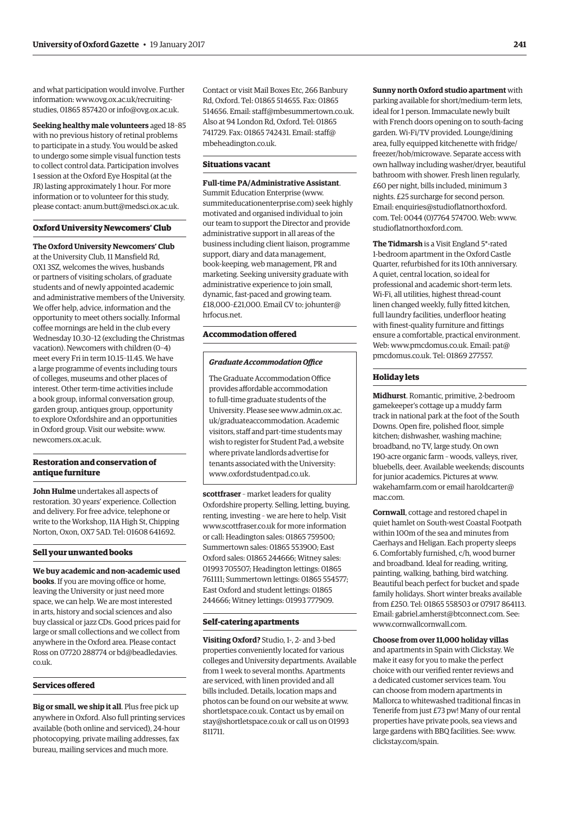and what participation would involve. Further infor[mation: www.ovg.ox.ac.uk/recruiting](www.ovg.ox.ac.uk/recruiting-studies)studies, 01865 857420 or [info@ovg.ox.ac.uk.](mailto:info@ovg.ox.ac.uk)

**Seeking healthy male volunteers** aged 18–85 with no previous history of retinal problems to participate in a study. You would be asked to undergo some simple visual function tests to collect control data. Participation involves 1 session at the Oxford Eye Hospital (at the JR) lasting approximately 1 hour. For more information or to volunteer for this study, please contact: [anum.butt@medsci.ox.ac.uk.](mailto:anum.butt@medsci.ox.ac.uk)

# **Oxford University Newcomers' Club**

**The Oxford University Newcomers' Club**

at the University Club, 11 Mansfield Rd, OX1 3SZ, welcomes the wives, husbands or partners of visiting scholars, of graduate students and of newly appointed academic and administrative members of the University. We offer help, advice, information and the opportunity to meet others socially. Informal coffee mornings are held in the club every Wednesday 10.30–12 (excluding the Christmas vacation). Newcomers with children (0–4) meet every Fri in term 10.15–11.45. We have a large programme of events including tours of colleges, museums and other places of interest. Other term-time activities include a book group, informal conversation group, garden group, antiques group, opportunity to explore Oxfordshire and an opportunities in Oxford group. Visit our website: [www.](http://www.newcomers.ox.ac.uk) [newcomers.ox.ac.uk.](http://www.newcomers.ox.ac.uk)

#### **Restoration and conservation of antique furniture**

**John Hulme** undertakes all aspects of restoration. 30 years' experience. Collection and delivery. For free advice, telephone or write to the Workshop, 11A High St, Chipping Norton, Oxon, OX7 5AD. Tel: 01608 641692.

#### **Sell your unwanted books**

**We buy academic and non-academic used books**. If you are moving office or home, leaving the University or just need more space, we can help. We are most interested in arts, history and social sciences and also buy classical or jazz CDs. Good prices paid for large or small collections and we collect from anywhere in the Oxford area. Please contact [Ross on 07720 288774 or bd@beadledavies.](mailto:bd@beadledavies.co.uk) co.uk.

#### **Services offered**

**Big or small, we ship it all**. Plus free pick up anywhere in Oxford. Also full printing services available (both online and serviced), 24-hour photocopying, private mailing addresses, fax bureau, mailing services and much more.

Contact or visit Mail Boxes Etc, 266 Banbury Rd, Oxford. Tel: 01865 514655. Fax: 01865 514656. Email: [staff@mbesummertown.co.uk.](mailto:staff@mbesummertown.co.uk)  Also at 94 London Rd, Oxford. Tel: 01865 [741729. Fax: 01865 742431. Email: staff@](mailto:staff@mbeheadington.co.uk) mbeheadington.co.uk.

#### **Situations vacant**

Summit Education Enterprise [\(www.](http://www.summiteducationenterprise.com) [summiteducationenterprise.com\) se](http://www.summiteducationenterprise.com)ek highly motivated and organised individual to join our team to support the Director and provide

**Full-time PA/Administrative Assistant**.

administrative support in all areas of the business including client liaison, programme support, diary and data management, book-keeping, web management, PR and marketing. Seeking university graduate with administrative experience to join small, dynamic, fast-paced and growing team. [£18,000–£21,000. Email CV to: johunter@](mailto:johunter@hrfocus.net) hrfocus.net.

# **Accommodation offered**

#### *Graduate Accommodation Office*

The Graduate Accommodation Office provides affordable accommodation to full-time graduate students of the [University. Please see www.admin.ox.ac.](www.admin.ox.ac.uk/graduateaccommodation) uk/graduateaccommodation. Academic visitors, staff and part-time students may wish to register for Student Pad, a website where private landlords advertise for tenants associated with the University: [www.oxfordstudentpad.co.uk.](http://www.oxfordstudentpad.co.uk)

**scottfraser** – market leaders for quality Oxfordshire property. Selling, letting, buying, renting, investing – we are here to help. Visit [www.scottfraser.co.uk fo](http://www.scottfraser.co.uk)r more information or call: Headington sales: 01865 759500; Summertown sales: 01865 553900; East Oxford sales: 01865 244666; Witney sales: 01993 705507; Headington lettings: 01865 761111; Summertown lettings: 01865 554577; East Oxford and student lettings: 01865 244666; Witney lettings: 01993 777909.

#### **Self-catering apartments**

**Visiting Oxford?** Studio, 1-, 2- and 3-bed properties conveniently located for various colleges and University departments. Available from 1 week to several months. Apartments are serviced, with linen provided and all bills included. Details, location maps and photos can be found on our website at [www.](http://www.shortletspace.co.uk) [shortletspace.co.uk. Co](http://www.shortletspace.co.uk)ntact us by email on [stay@shortletspace.co.uk or](mailto:stay@shortletspace.co.uk) call us on 01993 811711.

**Sunny north Oxford studio apartment** with parking available for short/medium-term lets, ideal for 1 person. Immaculate newly built with French doors opening on to south-facing garden. Wi-Fi/TV provided. Lounge/dining area, fully equipped kitchenette with fridge/ freezer/hob/microwave. Separate access with own hallway including washer/dryer, beautiful bathroom with shower. Fresh linen regularly, £60 per night, bills included, minimum 3 nights. £25 surcharge for second person. Email: enquiries@studioflatnorthoxford. com. Tel: 0044 (0)7764 574700. Web: [www.](http://www.studioflatnorthoxford.com) [studioflatnorthoxford.com.](http://www.studioflatnorthoxford.com)

**The Tidmarsh** is a Visit England 5\*-rated 1-bedroom apartment in the Oxford Castle Quarter, refurbished for its 10th anniversary. A quiet, central location, so ideal for professional and academic short-term lets. Wi-Fi, all utilities, highest thread-count linen changed weekly, fully fitted kitchen, full laundry facilities, underfloor heating with finest-quality furniture and fittings ensure a comfortable, practical environment. Web: [www.pmcdomus.co.uk. Em](http://www.pmcdomus.co.uk)ail: pat@ [pmcdomus.co.uk. Tel: 01869](mailto:pat@pmcdomus.co.uk) 277557.

# **Holiday lets**

**Midhurst**. Romantic, primitive, 2-bedroom gamekeeper's cottage up a muddy farm track in national park at the foot of the South Downs. Open fire, polished floor, simple kitchen; dishwasher, washing machine; broadband, no TV, large study. On own 190-acre organic farm – woods, valleys, river, bluebells, deer. Available weekends; discounts for junior academics. Pictures at [www.](http://www.wakehamfarm.com) [wakehamfarm.com or](http://www.wakehamfarm.com) e[mail haroldcarter@](mailto:haroldcarter@mac.com) mac.com.

**Cornwall**, cottage and restored chapel in quiet hamlet on South-west Coastal Footpath within 100m of the sea and minutes from Caerhays and Heligan. Each property sleeps 6. Comfortably furnished, c/h, wood burner and broadband. Ideal for reading, writing, painting, walking, bathing, bird watching. Beautiful beach perfect for bucket and spade family holidays. Short winter breaks available from £250. Tel: 01865 558503 or 07917 864113. Email: [gabriel.amherst@btconnect.com. Se](mailto:gabriel.amherst@btconnect.com)e: [www.cornwallcornwall.com.](http://www.cornwallcornwall.com)

#### **Choose from over 11,000 holiday villas**

and apartments in Spain with Clickstay. We make it easy for you to make the perfect choice with our verified renter reviews and a dedicated customer services team. You can choose from modern apartments in Mallorca to whitewashed traditional fincas in Tenerife from just £73 pw! Many of our rental properties have private pools, sea views and large gardens with BBQ facilities. See: [www.](http://www.clickstay.com/spain) [clickstay.com/spain.](http://www.clickstay.com/spain)